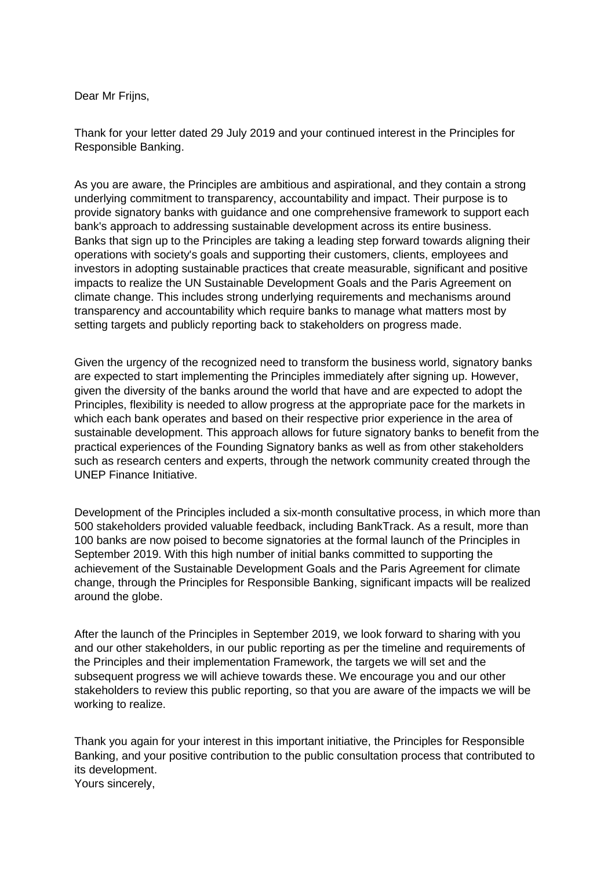Dear Mr Frijns,

Thank for your letter dated 29 July 2019 and your continued interest in the Principles for Responsible Banking.

As you are aware, the Principles are ambitious and aspirational, and they contain a strong underlying commitment to transparency, accountability and impact. Their purpose is to provide signatory banks with guidance and one comprehensive framework to support each bank's approach to addressing sustainable development across its entire business. Banks that sign up to the Principles are taking a leading step forward towards aligning their operations with society's goals and supporting their customers, clients, employees and investors in adopting sustainable practices that create measurable, significant and positive impacts to realize the UN Sustainable Development Goals and the Paris Agreement on climate change. This includes strong underlying requirements and mechanisms around transparency and accountability which require banks to manage what matters most by setting targets and publicly reporting back to stakeholders on progress made.

Given the urgency of the recognized need to transform the business world, signatory banks are expected to start implementing the Principles immediately after signing up. However, given the diversity of the banks around the world that have and are expected to adopt the Principles, flexibility is needed to allow progress at the appropriate pace for the markets in which each bank operates and based on their respective prior experience in the area of sustainable development. This approach allows for future signatory banks to benefit from the practical experiences of the Founding Signatory banks as well as from other stakeholders such as research centers and experts, through the network community created through the UNEP Finance Initiative.

Development of the Principles included a six-month consultative process, in which more than 500 stakeholders provided valuable feedback, including BankTrack. As a result, more than 100 banks are now poised to become signatories at the formal launch of the Principles in September 2019. With this high number of initial banks committed to supporting the achievement of the Sustainable Development Goals and the Paris Agreement for climate change, through the Principles for Responsible Banking, significant impacts will be realized around the globe.

After the launch of the Principles in September 2019, we look forward to sharing with you and our other stakeholders, in our public reporting as per the timeline and requirements of the Principles and their implementation Framework, the targets we will set and the subsequent progress we will achieve towards these. We encourage you and our other stakeholders to review this public reporting, so that you are aware of the impacts we will be working to realize.

Thank you again for your interest in this important initiative, the Principles for Responsible Banking, and your positive contribution to the public consultation process that contributed to its development. Yours sincerely,